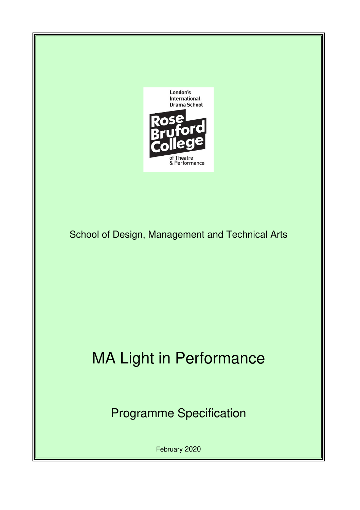

School of Design, Management and Technical Arts

# MA Light in Performance

Programme Specification

February 2020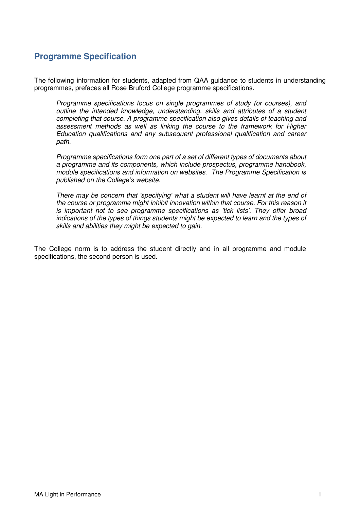# **Programme Specification**

The following information for students, adapted from QAA guidance to students in understanding programmes, prefaces all Rose Bruford College programme specifications.

Programme specifications focus on single programmes of study (or courses), and outline the intended knowledge, understanding, skills and attributes of a student completing that course. A programme specification also gives details of teaching and assessment methods as well as linking the course to the framework for Higher Education qualifications and any subsequent professional qualification and career path.

Programme specifications form one part of a set of different types of documents about a programme and its components, which include prospectus, programme handbook, module specifications and information on websites. The Programme Specification is published on the *College's* website.

There may be concern that 'specifying' what a student will have learnt at the end of the course or programme might inhibit innovation within that course. For this reason it is important not to see programme specifications as 'tick lists'. They offer broad indications of the types of things students might be expected to learn and the types of skills and abilities they might be expected to gain.

The College norm is to address the student directly and in all programme and module specifications, the second person is used.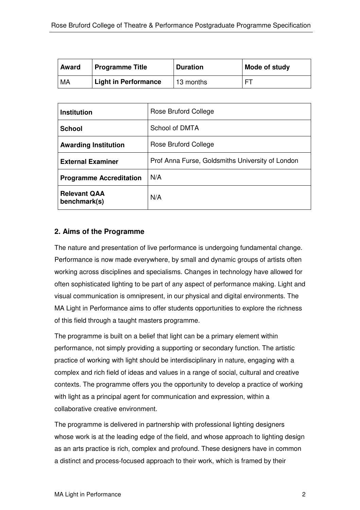| <b>Award</b> | <b>Programme Title</b> | <b>Duration</b> | Mode of study |
|--------------|------------------------|-----------------|---------------|
| MA           | Light in Performance   | 13 months       | ᄗ             |

| <b>Institution</b>                  | Rose Bruford College                             |
|-------------------------------------|--------------------------------------------------|
| <b>School</b>                       | School of DMTA                                   |
| <b>Awarding Institution</b>         | Rose Bruford College                             |
| <b>External Examiner</b>            | Prof Anna Furse, Goldsmiths University of London |
| <b>Programme Accreditation</b>      | N/A                                              |
| <b>Relevant QAA</b><br>benchmark(s) | N/A                                              |

# **2. Aims of the Programme**

The nature and presentation of live performance is undergoing fundamental change. Performance is now made everywhere, by small and dynamic groups of artists often working across disciplines and specialisms. Changes in technology have allowed for often sophisticated lighting to be part of any aspect of performance making. Light and visual communication is omnipresent, in our physical and digital environments. The MA Light in Performance aims to offer students opportunities to explore the richness of this field through a taught masters programme.

The programme is built on a belief that light can be a primary element within performance, not simply providing a supporting or secondary function. The artistic practice of working with light should be interdisciplinary in nature, engaging with a complex and rich field of ideas and values in a range of social, cultural and creative contexts. The programme offers you the opportunity to develop a practice of working with light as a principal agent for communication and expression, within a collaborative creative environment.

The programme is delivered in partnership with professional lighting designers whose work is at the leading edge of the field, and whose approach to lighting design as an arts practice is rich, complex and profound. These designers have in common a distinct and process-focused approach to their work, which is framed by their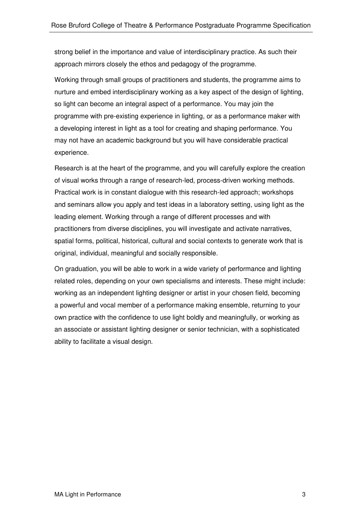strong belief in the importance and value of interdisciplinary practice. As such their approach mirrors closely the ethos and pedagogy of the programme.

Working through small groups of practitioners and students, the programme aims to nurture and embed interdisciplinary working as a key aspect of the design of lighting, so light can become an integral aspect of a performance. You may join the programme with pre-existing experience in lighting, or as a performance maker with a developing interest in light as a tool for creating and shaping performance. You may not have an academic background but you will have considerable practical experience.

Research is at the heart of the programme, and you will carefully explore the creation of visual works through a range of research-led, process-driven working methods. Practical work is in constant dialogue with this research-led approach; workshops and seminars allow you apply and test ideas in a laboratory setting, using light as the leading element. Working through a range of different processes and with practitioners from diverse disciplines, you will investigate and activate narratives, spatial forms, political, historical, cultural and social contexts to generate work that is original, individual, meaningful and socially responsible.

On graduation, you will be able to work in a wide variety of performance and lighting related roles, depending on your own specialisms and interests. These might include: working as an independent lighting designer or artist in your chosen field, becoming a powerful and vocal member of a performance making ensemble, returning to your own practice with the confidence to use light boldly and meaningfully, or working as an associate or assistant lighting designer or senior technician, with a sophisticated ability to facilitate a visual design.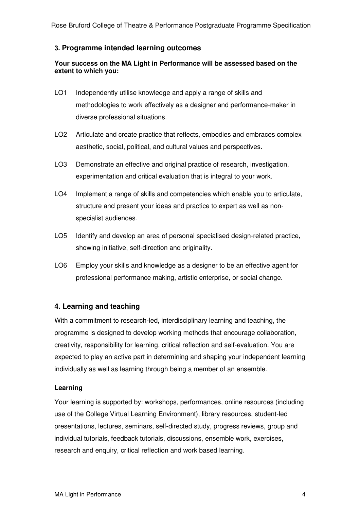## **3. Programme intended learning outcomes**

## **Your success on the MA Light in Performance will be assessed based on the extent to which you:**

- LO1 Independently utilise knowledge and apply a range of skills and methodologies to work effectively as a designer and performance-maker in diverse professional situations.
- LO2 Articulate and create practice that reflects, embodies and embraces complex aesthetic, social, political, and cultural values and perspectives.
- LO3 Demonstrate an effective and original practice of research, investigation, experimentation and critical evaluation that is integral to your work.
- LO4 Implement a range of skills and competencies which enable you to articulate, structure and present your ideas and practice to expert as well as nonspecialist audiences.
- LO5 Identify and develop an area of personal specialised design-related practice, showing initiative, self-direction and originality.
- LO6 Employ your skills and knowledge as a designer to be an effective agent for professional performance making, artistic enterprise, or social change.

## **4. Learning and teaching**

With a commitment to research-led, interdisciplinary learning and teaching, the programme is designed to develop working methods that encourage collaboration, creativity, responsibility for learning, critical reflection and self-evaluation. You are expected to play an active part in determining and shaping your independent learning individually as well as learning through being a member of an ensemble.

## **Learning**

Your learning is supported by: workshops, performances, online resources (including use of the College Virtual Learning Environment), library resources, student-led presentations, lectures, seminars, self-directed study, progress reviews, group and individual tutorials, feedback tutorials, discussions, ensemble work, exercises, research and enquiry, critical reflection and work based learning.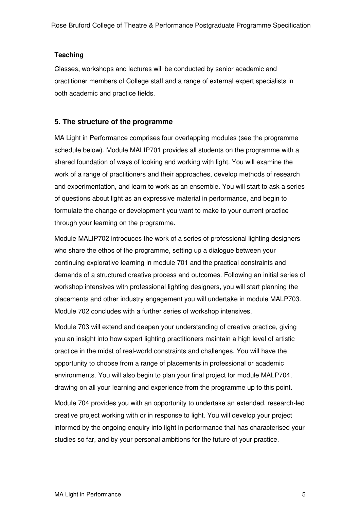#### **Teaching**

Classes, workshops and lectures will be conducted by senior academic and practitioner members of College staff and a range of external expert specialists in both academic and practice fields.

## **5. The structure of the programme**

MA Light in Performance comprises four overlapping modules (see the programme schedule below). Module MALIP701 provides all students on the programme with a shared foundation of ways of looking and working with light. You will examine the work of a range of practitioners and their approaches, develop methods of research and experimentation, and learn to work as an ensemble. You will start to ask a series of questions about light as an expressive material in performance, and begin to formulate the change or development you want to make to your current practice through your learning on the programme.

Module MALIP702 introduces the work of a series of professional lighting designers who share the ethos of the programme, setting up a dialogue between your continuing explorative learning in module 701 and the practical constraints and demands of a structured creative process and outcomes. Following an initial series of workshop intensives with professional lighting designers, you will start planning the placements and other industry engagement you will undertake in module MALP703. Module 702 concludes with a further series of workshop intensives.

Module 703 will extend and deepen your understanding of creative practice, giving you an insight into how expert lighting practitioners maintain a high level of artistic practice in the midst of real-world constraints and challenges. You will have the opportunity to choose from a range of placements in professional or academic environments. You will also begin to plan your final project for module MALP704, drawing on all your learning and experience from the programme up to this point.

Module 704 provides you with an opportunity to undertake an extended, research-led creative project working with or in response to light. You will develop your project informed by the ongoing enquiry into light in performance that has characterised your studies so far, and by your personal ambitions for the future of your practice.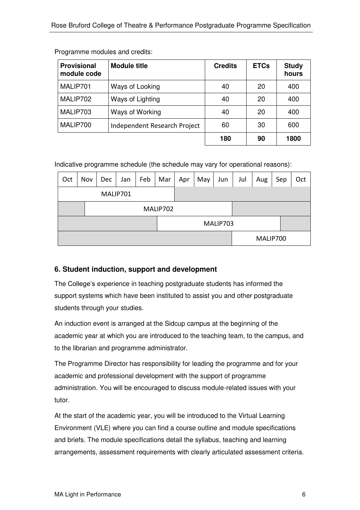| <b>Provisional</b><br>module code | <b>Module title</b>          | <b>Credits</b> | <b>ETCs</b> | <b>Study</b><br>hours |
|-----------------------------------|------------------------------|----------------|-------------|-----------------------|
| MALIP701                          | Ways of Looking              | 40             | 20          | 400                   |
| MALIP702                          | Ways of Lighting             | 40             | 20          | 400                   |
| MALIP703                          | Ways of Working              | 40             | 20          | 400                   |
| MALIP700                          | Independent Research Project | 60             | 30          | 600                   |
|                                   |                              | 180            | 90          | 1800                  |

Programme modules and credits:

Indicative programme schedule (the schedule may vary for operational reasons):

| Oct      | Nov | <b>Dec</b> | Jan | Feb | Mar | Apr | May | Jun      | Jul | Aug      | Sep | Oct |
|----------|-----|------------|-----|-----|-----|-----|-----|----------|-----|----------|-----|-----|
| MALIP701 |     |            |     |     |     |     |     |          |     |          |     |     |
| MALIP702 |     |            |     |     |     |     |     |          |     |          |     |     |
|          |     |            |     |     |     |     |     | MALIP703 |     |          |     |     |
|          |     |            |     |     |     |     |     |          |     | MALIP700 |     |     |

# **6. Student induction, support and development**

The College's experience in teaching postgraduate students has informed the support systems which have been instituted to assist you and other postgraduate students through your studies.

An induction event is arranged at the Sidcup campus at the beginning of the academic year at which you are introduced to the teaching team, to the campus, and to the librarian and programme administrator.

The Programme Director has responsibility for leading the programme and for your academic and professional development with the support of programme administration. You will be encouraged to discuss module-related issues with your tutor.

At the start of the academic year, you will be introduced to the Virtual Learning Environment (VLE) where you can find a course outline and module specifications and briefs. The module specifications detail the syllabus, teaching and learning arrangements, assessment requirements with clearly articulated assessment criteria.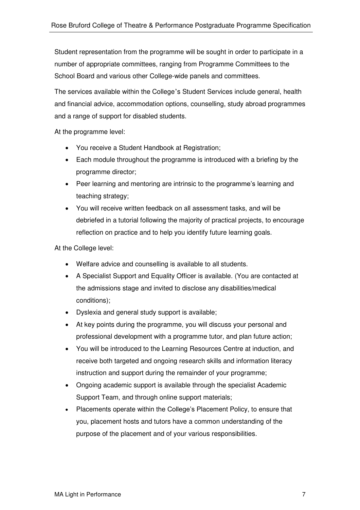Student representation from the programme will be sought in order to participate in a number of appropriate committees, ranging from Programme Committees to the School Board and various other College-wide panels and committees.

The services available within the College's Student Services include general, health and financial advice, accommodation options, counselling, study abroad programmes and a range of support for disabled students.

At the programme level:

- You receive a Student Handbook at Registration;
- Each module throughout the programme is introduced with a briefing by the programme director;
- Peer learning and mentoring are intrinsic to the programme's learning and teaching strategy;
- You will receive written feedback on all assessment tasks, and will be debriefed in a tutorial following the majority of practical projects, to encourage reflection on practice and to help you identify future learning goals.

At the College level:

- Welfare advice and counselling is available to all students.
- A Specialist Support and Equality Officer is available. (You are contacted at the admissions stage and invited to disclose any disabilities/medical conditions);
- Dyslexia and general study support is available;
- At key points during the programme, you will discuss your personal and professional development with a programme tutor, and plan future action;
- You will be introduced to the Learning Resources Centre at induction, and receive both targeted and ongoing research skills and information literacy instruction and support during the remainder of your programme;
- Ongoing academic support is available through the specialist Academic Support Team, and through online support materials;
- Placements operate within the College's Placement Policy, to ensure that you, placement hosts and tutors have a common understanding of the purpose of the placement and of your various responsibilities.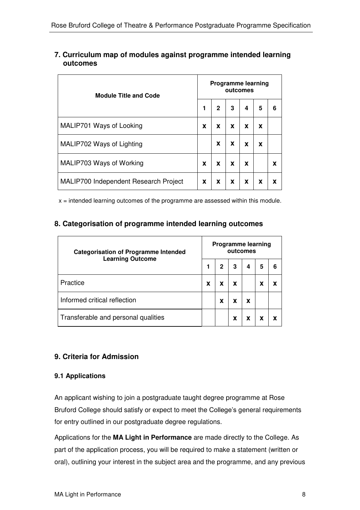## **7. Curriculum map of modules against programme intended learning outcomes**

| <b>Module Title and Code</b>          |   | <b>Programme learning</b><br>outcomes |   |   |   |   |  |  |  |
|---------------------------------------|---|---------------------------------------|---|---|---|---|--|--|--|
|                                       | 1 | $\mathbf{2}$                          | 3 | 4 | 5 | 6 |  |  |  |
| MALIP701 Ways of Looking              | X | X                                     | X | X | X |   |  |  |  |
| MALIP702 Ways of Lighting             |   | X                                     | X | X | X |   |  |  |  |
| MALIP703 Ways of Working              | X | X                                     | X | X |   | x |  |  |  |
| MALIP700 Independent Research Project | X | X                                     | x | X | X |   |  |  |  |

 $x =$  intended learning outcomes of the programme are assessed within this module.

## **8. Categorisation of programme intended learning outcomes**

| <b>Categorisation of Programme Intended</b><br><b>Learning Outcome</b> |   | <b>Programme learning</b><br>outcomes |   |   |   |   |  |  |  |
|------------------------------------------------------------------------|---|---------------------------------------|---|---|---|---|--|--|--|
|                                                                        |   | 2                                     | 3 | 4 | 5 | 6 |  |  |  |
| Practice                                                               | X | X                                     | X |   | X |   |  |  |  |
| Informed critical reflection                                           |   | x                                     |   | X |   |   |  |  |  |
| Transferable and personal qualities                                    |   |                                       | X | x | X |   |  |  |  |

# **9. Criteria for Admission**

## **9.1 Applications**

An applicant wishing to join a postgraduate taught degree programme at Rose Bruford College should satisfy or expect to meet the College's general requirements for entry outlined in our postgraduate degree regulations.

Applications for the **MA Light in Performance** are made directly to the College. As part of the application process, you will be required to make a statement (written or oral), outlining your interest in the subject area and the programme, and any previous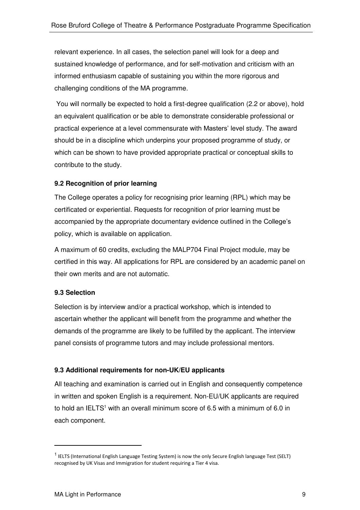relevant experience. In all cases, the selection panel will look for a deep and sustained knowledge of performance, and for self-motivation and criticism with an informed enthusiasm capable of sustaining you within the more rigorous and challenging conditions of the MA programme.

 You will normally be expected to hold a first-degree qualification (2.2 or above), hold an equivalent qualification or be able to demonstrate considerable professional or practical experience at a level commensurate with Masters' level study. The award should be in a discipline which underpins your proposed programme of study, or which can be shown to have provided appropriate practical or conceptual skills to contribute to the study.

## **9.2 Recognition of prior learning**

The College operates a policy for recognising prior learning (RPL) which may be certificated or experiential. Requests for recognition of prior learning must be accompanied by the appropriate documentary evidence outlined in the College's policy, which is available on application.

A maximum of 60 credits, excluding the MALP704 Final Project module, may be certified in this way. All applications for RPL are considered by an academic panel on their own merits and are not automatic.

#### **9.3 Selection**

Selection is by interview and/or a practical workshop, which is intended to ascertain whether the applicant will benefit from the programme and whether the demands of the programme are likely to be fulfilled by the applicant. The interview panel consists of programme tutors and may include professional mentors.

## **9.3 Additional requirements for non-UK/EU applicants**

All teaching and examination is carried out in English and consequently competence in written and spoken English is a requirement. Non-EU/UK applicants are required to hold an IELTS<sup>1</sup> with an overall minimum score of 6.5 with a minimum of 6.0 in each component.

 $\overline{a}$ 

<sup>&</sup>lt;sup>1</sup> IELTS (International English Language Testing System) is now the only Secure English language Test (SELT) recognised by UK Visas and Immigration for student requiring a Tier 4 visa.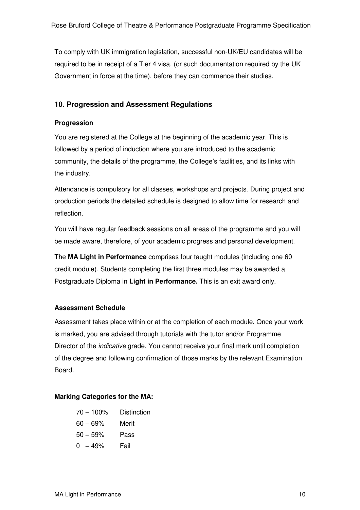To comply with UK immigration legislation, successful non-UK/EU candidates will be required to be in receipt of a Tier 4 visa, (or such documentation required by the UK Government in force at the time), before they can commence their studies.

## **10. Progression and Assessment Regulations**

#### **Progression**

You are registered at the College at the beginning of the academic year. This is followed by a period of induction where you are introduced to the academic community, the details of the programme, the College's facilities, and its links with the industry.

Attendance is compulsory for all classes, workshops and projects. During project and production periods the detailed schedule is designed to allow time for research and reflection.

You will have regular feedback sessions on all areas of the programme and you will be made aware, therefore, of your academic progress and personal development.

The **MA Light in Performance** comprises four taught modules (including one 60 credit module). Students completing the first three modules may be awarded a Postgraduate Diploma in **Light in Performance.** This is an exit award only.

## **Assessment Schedule**

Assessment takes place within or at the completion of each module. Once your work is marked, you are advised through tutorials with the tutor and/or Programme Director of the *indicative* grade. You cannot receive your final mark until completion of the degree and following confirmation of those marks by the relevant Examination Board.

#### **Marking Categories for the MA:**

| $70 - 100\%$ | <b>Distinction</b> |
|--------------|--------------------|
| $60 - 69%$   | Merit              |
| $50 - 59%$   | Pass               |
| $0 - 49%$    | Fail               |